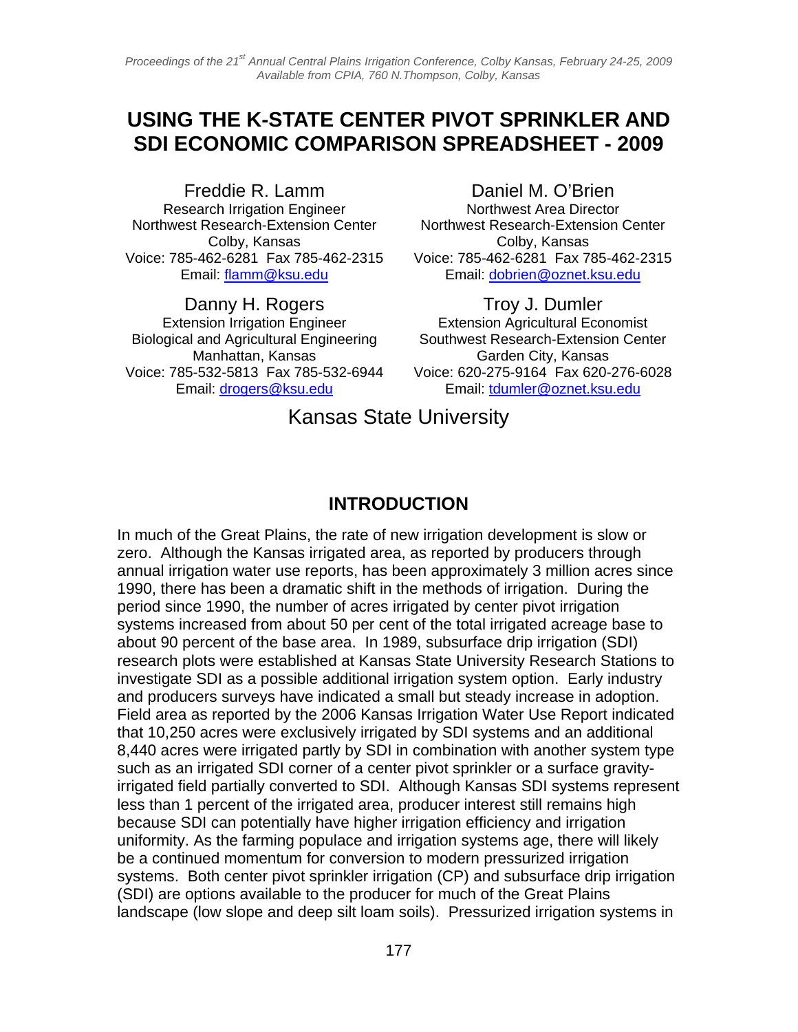# **USING THE K-STATE CENTER PIVOT SPRINKLER AND SDI ECONOMIC COMPARISON SPREADSHEET - 2009**

Freddie R. Lamm Research Irrigation Engineer Northwest Research-Extension Center Colby, Kansas Voice: 785-462-6281 Fax 785-462-2315 Email: flamm@ksu.edu

Danny H. Rogers Extension Irrigation Engineer Biological and Agricultural Engineering Manhattan, Kansas Voice: 785-532-5813 Fax 785-532-6944 Email: drogers@ksu.edu

Daniel M. O'Brien Northwest Area Director Northwest Research-Extension Center Colby, Kansas Voice: 785-462-6281 Fax 785-462-2315 Email: dobrien@oznet.ksu.edu

Troy J. Dumler Extension Agricultural Economist Southwest Research-Extension Center Garden City, Kansas Voice: 620-275-9164 Fax 620-276-6028 Email: tdumler@oznet.ksu.edu

Kansas State University

#### **INTRODUCTION**

In much of the Great Plains, the rate of new irrigation development is slow or zero. Although the Kansas irrigated area, as reported by producers through annual irrigation water use reports, has been approximately 3 million acres since 1990, there has been a dramatic shift in the methods of irrigation. During the period since 1990, the number of acres irrigated by center pivot irrigation systems increased from about 50 per cent of the total irrigated acreage base to about 90 percent of the base area. In 1989, subsurface drip irrigation (SDI) research plots were established at Kansas State University Research Stations to investigate SDI as a possible additional irrigation system option. Early industry and producers surveys have indicated a small but steady increase in adoption. Field area as reported by the 2006 Kansas Irrigation Water Use Report indicated that 10,250 acres were exclusively irrigated by SDI systems and an additional 8,440 acres were irrigated partly by SDI in combination with another system type such as an irrigated SDI corner of a center pivot sprinkler or a surface gravityirrigated field partially converted to SDI. Although Kansas SDI systems represent less than 1 percent of the irrigated area, producer interest still remains high because SDI can potentially have higher irrigation efficiency and irrigation uniformity. As the farming populace and irrigation systems age, there will likely be a continued momentum for conversion to modern pressurized irrigation systems. Both center pivot sprinkler irrigation (CP) and subsurface drip irrigation (SDI) are options available to the producer for much of the Great Plains landscape (low slope and deep silt loam soils). Pressurized irrigation systems in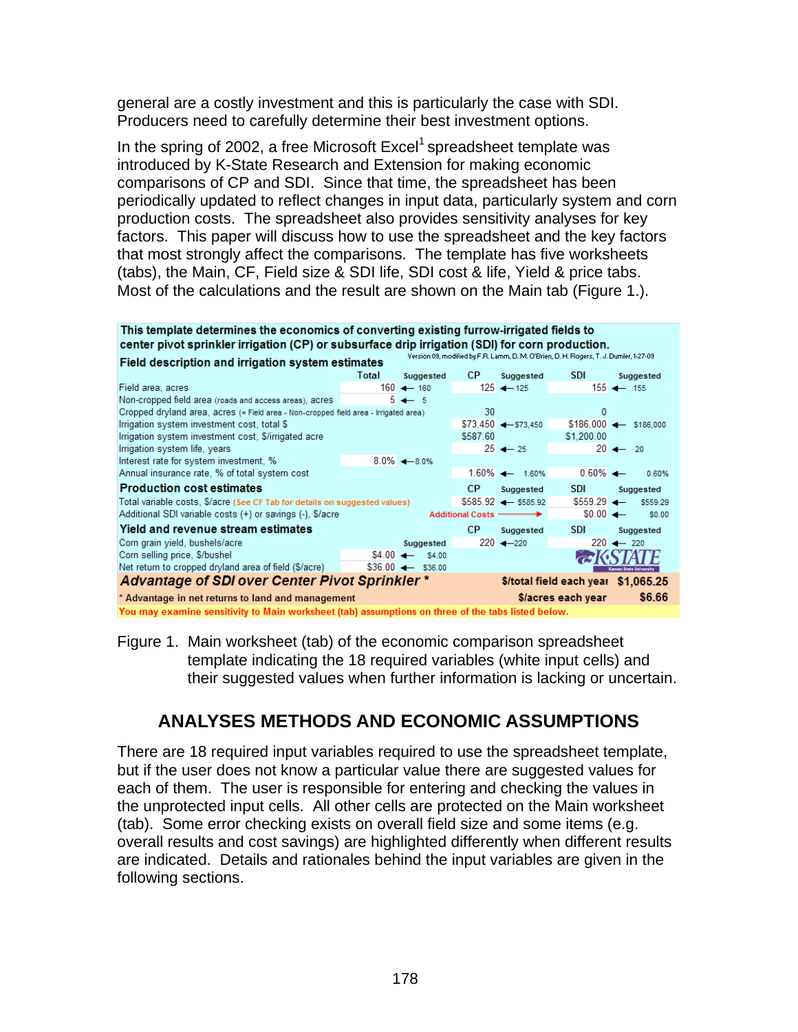general are a costly investment and this is particularly the case with SDI. Producers need to carefully determine their best investment options.

In the spring of 2002, a free Microsoft  $\text{Excel}^1$  spreadsheet template was introduced by K-State Research and Extension for making economic comparisons of CP and SDI. Since that time, the spreadsheet has been periodically updated to reflect changes in input data, particularly system and corn production costs. The spreadsheet also provides sensitivity analyses for key factors. This paper will discuss how to use the spreadsheet and the key factors that most strongly affect the comparisons. The template has five worksheets (tabs), the Main, CF, Field size & SDI life, SDI cost & life, Yield & price tabs. Most of the calculations and the result are shown on the Main tab (Figure 1.).

This template determines the economics of converting existing furrow-irrigated fields to center pivot sprinkler irrigation (CP) or subsurface drip irrigation (SDI) for corn production.

|                                                | Field description and irrigation system estimates                                    |       |                            |           |                                 |                                     |                                |
|------------------------------------------------|--------------------------------------------------------------------------------------|-------|----------------------------|-----------|---------------------------------|-------------------------------------|--------------------------------|
|                                                |                                                                                      | Total | Suggested                  | CP.       | Suggested                       | <b>SDI</b>                          | Suggested                      |
|                                                | Field area, acres                                                                    |       | $160 \leftarrow 160$       |           | 125 $\leftarrow$ 125            |                                     | $155 \leftarrow 155$           |
|                                                | Non-cropped field area (roads and access areas), acres                               |       | $5 \leftarrow 5$           |           |                                 |                                     |                                |
|                                                | Cropped dryland area, acres (= Field area - Non-cropped field area - Irrigated area) |       |                            | 30        |                                 | 0                                   |                                |
|                                                | Irrigation system investment cost, total \$                                          |       |                            |           | $$73.450$ $\leftarrow$ \$73.450 |                                     | $$186.000 \leftarrow $186.000$ |
|                                                | Irrigation system investment cost, \$/irrigated acre                                 |       |                            | \$587.60  |                                 | \$1,200.00                          |                                |
|                                                | Irrigation system life, years                                                        |       |                            |           | $25 \leftarrow 25$              |                                     | $20 \leftarrow 20$             |
|                                                | Interest rate for system investment, %                                               |       | $8.0\% - 8.0\%$            |           |                                 |                                     |                                |
|                                                | Annual insurance rate, % of total system cost                                        |       |                            |           | $1.60\%$ $\rightarrow$ 1.60%    | $0.60\%$ $\leftarrow$               | 0.60%                          |
|                                                | <b>Production cost estimates</b>                                                     |       |                            | CP.       | Suggested                       | <b>SDI</b>                          | Suggested                      |
|                                                | Total variable costs, \$/acre (See CF Tab for details on suggested values)           |       |                            |           | $$585.92$ $\leftarrow$ \$585.92 | $$5559.29$ $\leftarrow$             | \$559.29                       |
|                                                | Additional SDI variable costs (+) or savings (-), \$/acre                            |       |                            |           | Additional Costs ––––––––––     | $$0.00 \leftarrow$                  | \$0.00                         |
|                                                | <b>Yield and revenue stream estimates</b>                                            |       |                            | <b>CP</b> | Suggested                       | <b>SDI</b>                          | Suggested                      |
|                                                | Corn grain yield, bushels/acre                                                       |       | Suggested                  |           | $220 - 220$                     |                                     | $220 \leftarrow 220$           |
|                                                | Corn selling price, \$/bushel                                                        |       | $$4.00 \leftarrow $4.00$   |           |                                 |                                     |                                |
|                                                | Net return to cropped dryland area of field (\$/acre)                                |       | $$36.00 \leftarrow $36.00$ |           |                                 |                                     | Konsos Stote University        |
| Advantage of SDI over Center Pivot Sprinkler * |                                                                                      |       |                            |           |                                 | \$/total field each year \$1,065.25 |                                |
|                                                | * Advantage in net returns to land and management                                    |       |                            |           |                                 | \$/acres each year                  | \$6,66                         |
|                                                |                                                                                      |       |                            |           |                                 |                                     |                                |

You may examine sensitivity to Main worksheet (tab) assumptions on three of the tabs listed below.

Figure 1. Main worksheet (tab) of the economic comparison spreadsheet template indicating the 18 required variables (white input cells) and their suggested values when further information is lacking or uncertain.

## **ANALYSES METHODS AND ECONOMIC ASSUMPTIONS**

There are 18 required input variables required to use the spreadsheet template, but if the user does not know a particular value there are suggested values for each of them. The user is responsible for entering and checking the values in the unprotected input cells. All other cells are protected on the Main worksheet (tab). Some error checking exists on overall field size and some items (e.g. overall results and cost savings) are highlighted differently when different results are indicated. Details and rationales behind the input variables are given in the following sections.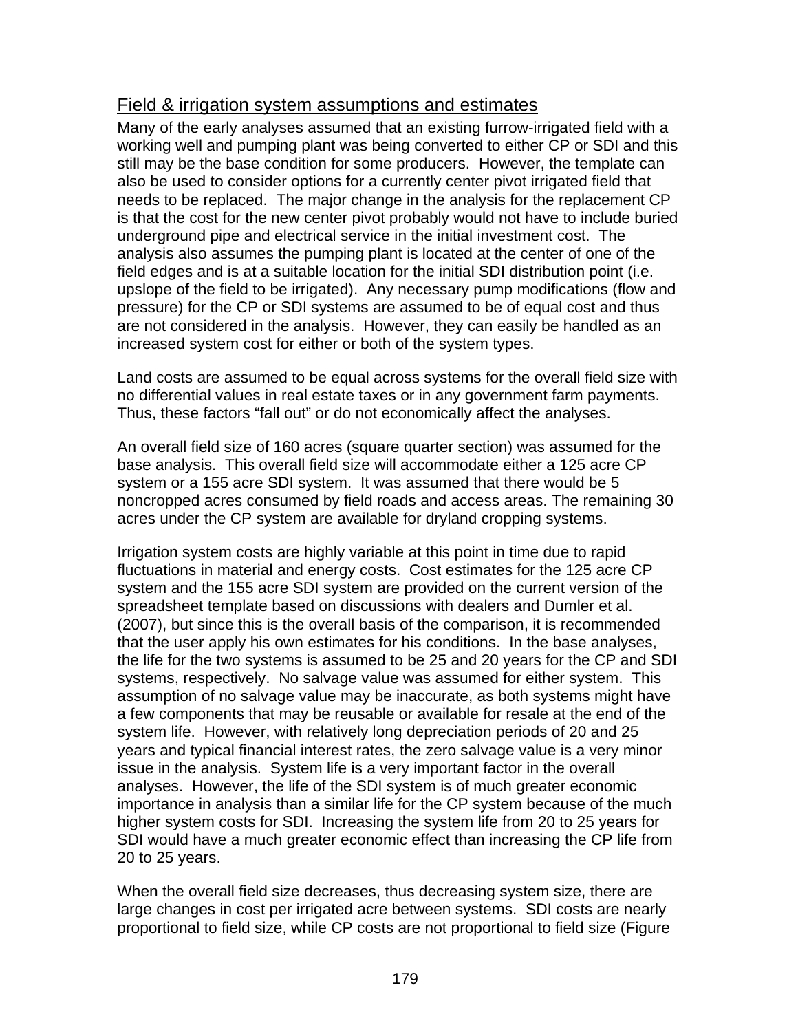### Field & irrigation system assumptions and estimates

Many of the early analyses assumed that an existing furrow-irrigated field with a working well and pumping plant was being converted to either CP or SDI and this still may be the base condition for some producers. However, the template can also be used to consider options for a currently center pivot irrigated field that needs to be replaced. The major change in the analysis for the replacement CP is that the cost for the new center pivot probably would not have to include buried underground pipe and electrical service in the initial investment cost. The analysis also assumes the pumping plant is located at the center of one of the field edges and is at a suitable location for the initial SDI distribution point (i.e. upslope of the field to be irrigated). Any necessary pump modifications (flow and pressure) for the CP or SDI systems are assumed to be of equal cost and thus are not considered in the analysis. However, they can easily be handled as an increased system cost for either or both of the system types.

Land costs are assumed to be equal across systems for the overall field size with no differential values in real estate taxes or in any government farm payments. Thus, these factors "fall out" or do not economically affect the analyses.

An overall field size of 160 acres (square quarter section) was assumed for the base analysis. This overall field size will accommodate either a 125 acre CP system or a 155 acre SDI system. It was assumed that there would be 5 noncropped acres consumed by field roads and access areas. The remaining 30 acres under the CP system are available for dryland cropping systems.

Irrigation system costs are highly variable at this point in time due to rapid fluctuations in material and energy costs. Cost estimates for the 125 acre CP system and the 155 acre SDI system are provided on the current version of the spreadsheet template based on discussions with dealers and Dumler et al. (2007), but since this is the overall basis of the comparison, it is recommended that the user apply his own estimates for his conditions. In the base analyses, the life for the two systems is assumed to be 25 and 20 years for the CP and SDI systems, respectively. No salvage value was assumed for either system. This assumption of no salvage value may be inaccurate, as both systems might have a few components that may be reusable or available for resale at the end of the system life. However, with relatively long depreciation periods of 20 and 25 years and typical financial interest rates, the zero salvage value is a very minor issue in the analysis. System life is a very important factor in the overall analyses. However, the life of the SDI system is of much greater economic importance in analysis than a similar life for the CP system because of the much higher system costs for SDI. Increasing the system life from 20 to 25 years for SDI would have a much greater economic effect than increasing the CP life from 20 to 25 years.

When the overall field size decreases, thus decreasing system size, there are large changes in cost per irrigated acre between systems. SDI costs are nearly proportional to field size, while CP costs are not proportional to field size (Figure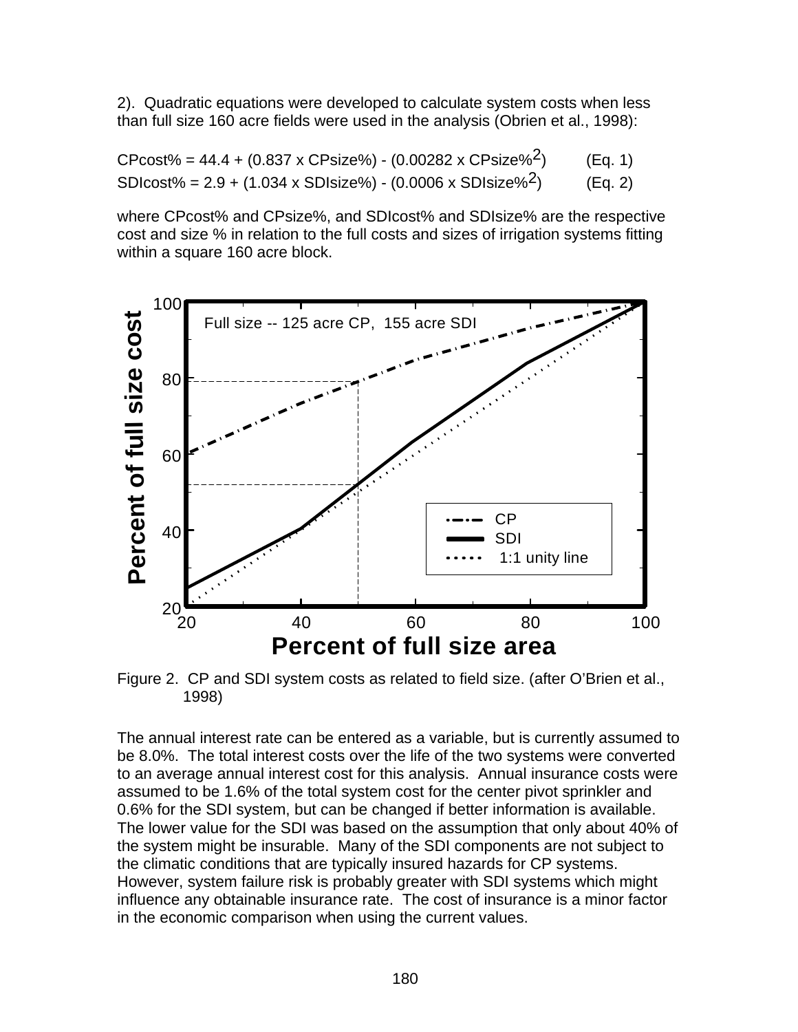2). Quadratic equations were developed to calculate system costs when less than full size 160 acre fields were used in the analysis (Obrien et al., 1998):

| $C$ Pcost% = 44.4 + (0.837 x CPsize%) - (0.00282 x CPsize% <sup>2</sup> ) | (Eq. 1) |
|---------------------------------------------------------------------------|---------|
| SDIcost% = $2.9 + (1.034 \times SDisize%) - (0.0006 \times SDisize%)$     | (Eq. 2) |

where CPcost% and CPsize%, and SDIcost% and SDIsize% are the respective cost and size % in relation to the full costs and sizes of irrigation systems fitting within a square 160 acre block.



Figure 2. CP and SDI system costs as related to field size. (after O'Brien et al., 1998)

The annual interest rate can be entered as a variable, but is currently assumed to be 8.0%. The total interest costs over the life of the two systems were converted to an average annual interest cost for this analysis. Annual insurance costs were assumed to be 1.6% of the total system cost for the center pivot sprinkler and 0.6% for the SDI system, but can be changed if better information is available. The lower value for the SDI was based on the assumption that only about 40% of the system might be insurable. Many of the SDI components are not subject to the climatic conditions that are typically insured hazards for CP systems. However, system failure risk is probably greater with SDI systems which might influence any obtainable insurance rate. The cost of insurance is a minor factor in the economic comparison when using the current values.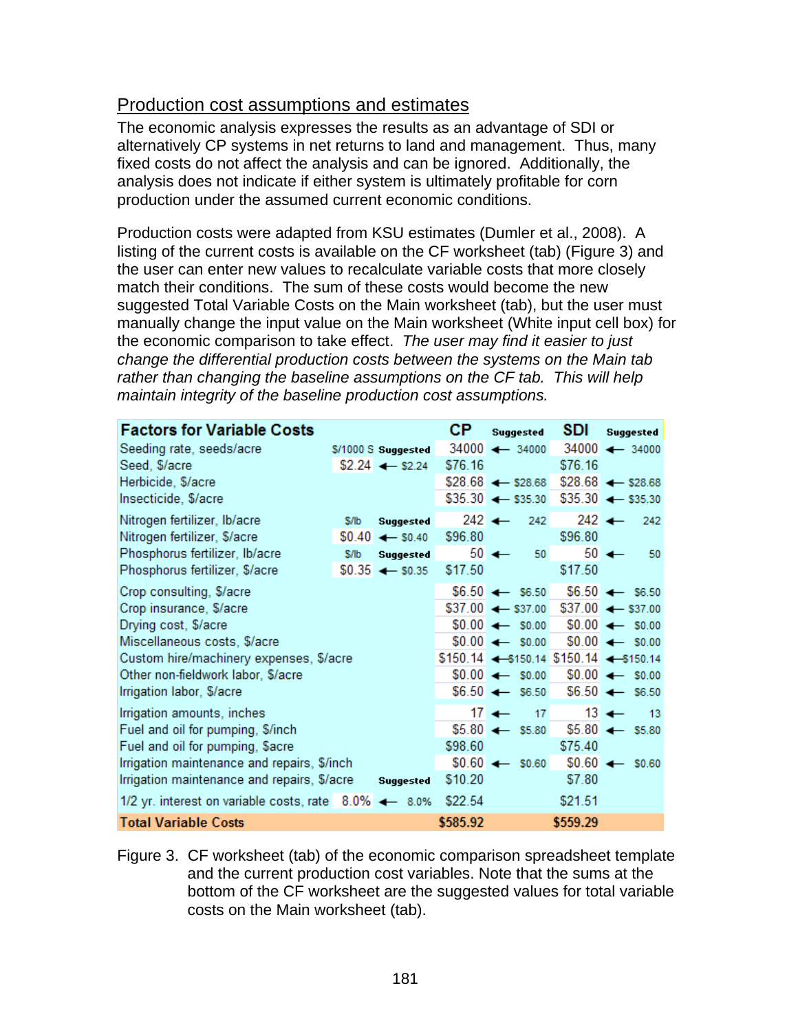#### Production cost assumptions and estimates

The economic analysis expresses the results as an advantage of SDI or alternatively CP systems in net returns to land and management. Thus, many fixed costs do not affect the analysis and can be ignored. Additionally, the analysis does not indicate if either system is ultimately profitable for corn production under the assumed current economic conditions.

Production costs were adapted from KSU estimates (Dumler et al., 2008). A listing of the current costs is available on the CF worksheet (tab) (Figure 3) and the user can enter new values to recalculate variable costs that more closely match their conditions. The sum of these costs would become the new suggested Total Variable Costs on the Main worksheet (tab), but the user must manually change the input value on the Main worksheet (White input cell box) for the economic comparison to take effect. *The user may find it easier to just change the differential production costs between the systems on the Main tab rather than changing the baseline assumptions on the CF tab. This will help maintain integrity of the baseline production cost assumptions.*

| <b>Factors for Variable Costs</b>                     |      |                             | CР       | <b>Suggested</b>                          | SDI              | Suggested                     |
|-------------------------------------------------------|------|-----------------------------|----------|-------------------------------------------|------------------|-------------------------------|
| Seeding rate, seeds/acre                              |      | \$/1000 S Suggested         |          | $34000 \leftarrow 34000$                  |                  | $34000 \leftarrow 34000$      |
| Seed, \$/acre                                         |      | $$2.24$ $\leftarrow$ \$2.24 | \$76.16  |                                           | \$76.16          |                               |
| Herbicide, \$/acre                                    |      |                             |          | $$28.68$ $\leftarrow$ \$28.68             |                  | $$28.68$ $\leftarrow$ \$28.68 |
| Insecticide, \$/acre                                  |      |                             |          | $$35.30$ $\leftarrow$ \$35.30             |                  | $$35.30 \leftarrow $35.30$    |
| Nitrogen fertilizer, Ib/acre                          | S/lb | Suggested                   |          | 242 $\leftarrow$<br>242                   | 242 $\leftarrow$ | 242                           |
| Nitrogen fertilizer, \$/acre                          |      | $$0.40 \leftarrow $0.40$    | \$96.80  |                                           | \$96.80          |                               |
| Phosphorus fertilizer, Ib/acre                        | S/lb | <b>Suggested</b>            |          | $50 \leftarrow$<br>- 50                   |                  | $50 \leftarrow$<br>50         |
| Phosphorus fertilizer, \$/acre                        |      | $$0.35 \leftarrow $0.35$    | \$17.50  |                                           | \$17.50          |                               |
| Crop consulting, \$/acre                              |      |                             |          | $$6.50 \leftarrow $6.50$                  |                  | $$6.50 \leftarrow $6.50$      |
| Crop insurance, \$/acre                               |      |                             |          | $$37.00 \leftarrow $37.00$                |                  | $$37.00 \leftarrow $37.00$    |
| Drying cost, \$/acre                                  |      |                             |          | $$0.00 \leftarrow $0.00$                  |                  | $$0.00 \leftarrow $0.00$      |
| Miscellaneous costs, \$/acre                          |      |                             |          | $$0.00 \leftarrow $0.00$                  |                  | $$0.00 \leftarrow $0.00$      |
| Custom hire/machinery expenses, \$/acre               |      |                             |          | $$150.14$ $-$150.14$ $$150.14$ $-$150.14$ |                  |                               |
| Other non-fieldwork labor, \$/acre                    |      |                             |          | $$0.00 \leftarrow $0.00$                  |                  | $$0.00 \leftarrow $0.00$      |
| Irrigation labor, \$/acre                             |      |                             |          | $$6.50 \leftarrow $6.50$                  |                  | $$6.50 \leftarrow $6.50$      |
| Irrigation amounts, inches                            |      |                             |          | $17 +$<br>17                              |                  | $13 \leftarrow$<br>$-13$      |
| Fuel and oil for pumping, \$/inch                     |      |                             |          | $$5.80 \leftarrow $5.80$                  |                  | $$5.80 \leftarrow $5.80$      |
| Fuel and oil for pumping, \$acre                      |      |                             | \$98.60  |                                           | \$75.40          |                               |
| Irrigation maintenance and repairs, \$/inch           |      |                             |          | $$0.60 \leftarrow $0.60$                  |                  | $$0.60 \leftarrow $0.60$      |
| Irrigation maintenance and repairs, \$/acre           |      | <b>Suggested</b>            | \$10.20  |                                           | \$7.80           |                               |
| 1/2 yr. interest on variable costs, rate 8.0% <= 8.0% |      |                             | \$22.54  |                                           | \$21.51          |                               |
| <b>Total Variable Costs</b>                           |      |                             | \$585.92 |                                           | \$559.29         |                               |

Figure 3. CF worksheet (tab) of the economic comparison spreadsheet template and the current production cost variables. Note that the sums at the bottom of the CF worksheet are the suggested values for total variable costs on the Main worksheet (tab).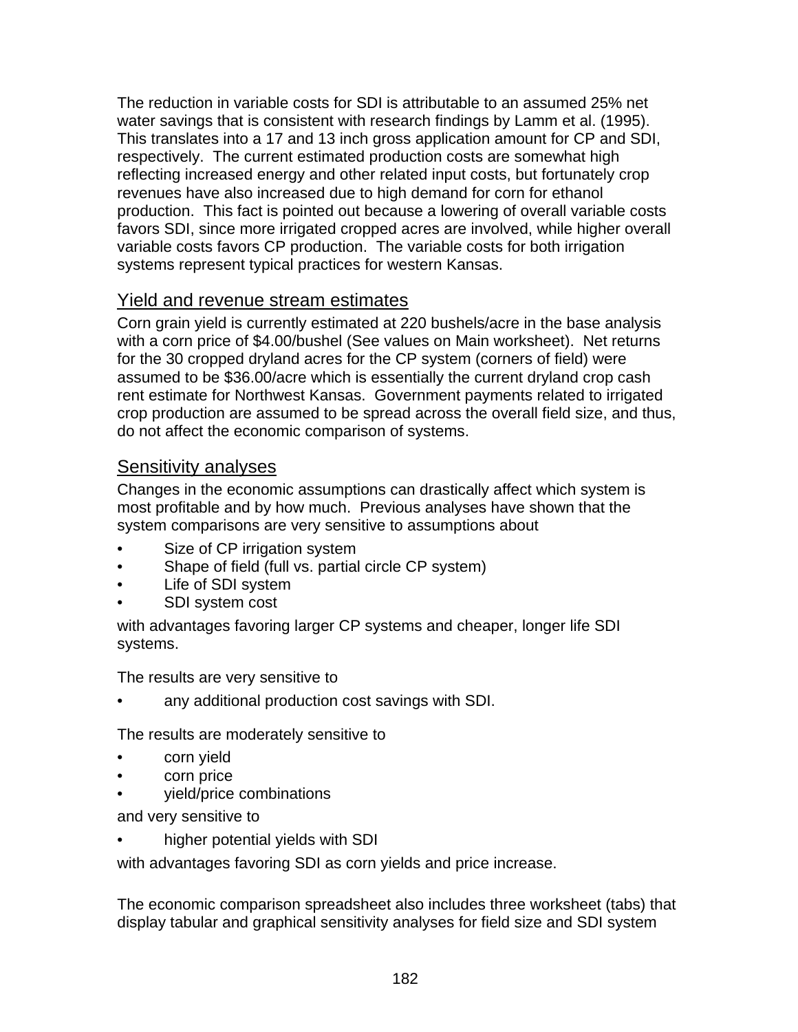The reduction in variable costs for SDI is attributable to an assumed 25% net water savings that is consistent with research findings by Lamm et al. (1995). This translates into a 17 and 13 inch gross application amount for CP and SDI, respectively. The current estimated production costs are somewhat high reflecting increased energy and other related input costs, but fortunately crop revenues have also increased due to high demand for corn for ethanol production. This fact is pointed out because a lowering of overall variable costs favors SDI, since more irrigated cropped acres are involved, while higher overall variable costs favors CP production. The variable costs for both irrigation systems represent typical practices for western Kansas.

### Yield and revenue stream estimates

Corn grain yield is currently estimated at 220 bushels/acre in the base analysis with a corn price of \$4.00/bushel (See values on Main worksheet). Net returns for the 30 cropped dryland acres for the CP system (corners of field) were assumed to be \$36.00/acre which is essentially the current dryland crop cash rent estimate for Northwest Kansas. Government payments related to irrigated crop production are assumed to be spread across the overall field size, and thus, do not affect the economic comparison of systems.

### Sensitivity analyses

Changes in the economic assumptions can drastically affect which system is most profitable and by how much. Previous analyses have shown that the system comparisons are very sensitive to assumptions about

- Size of CP irrigation system
- Shape of field (full vs. partial circle CP system)
- Life of SDI system
- SDI system cost

with advantages favoring larger CP systems and cheaper, longer life SDI systems.

The results are very sensitive to

• any additional production cost savings with SDI.

The results are moderately sensitive to

- corn yield
- corn price
- yield/price combinations

and very sensitive to

• higher potential yields with SDI

with advantages favoring SDI as corn yields and price increase.

The economic comparison spreadsheet also includes three worksheet (tabs) that display tabular and graphical sensitivity analyses for field size and SDI system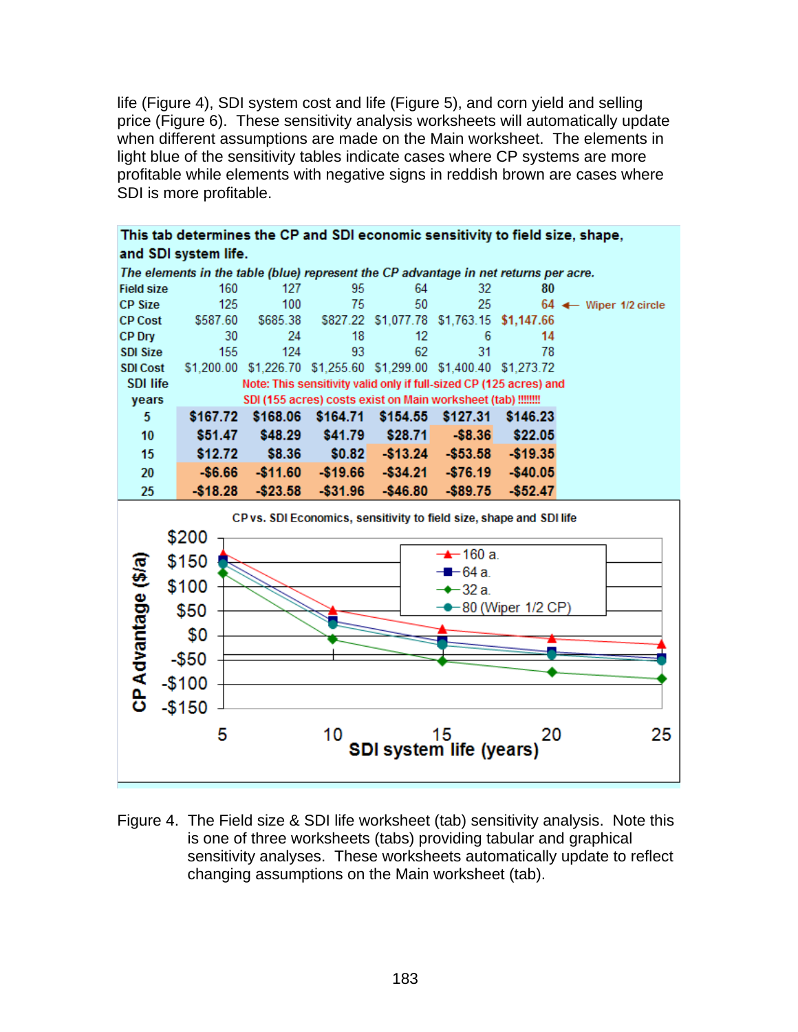life (Figure 4), SDI system cost and life (Figure 5), and corn yield and selling price (Figure 6). These sensitivity analysis worksheets will automatically update when different assumptions are made on the Main worksheet. The elements in light blue of the sensitivity tables indicate cases where CP systems are more profitable while elements with negative signs in reddish brown are cases where SDI is more profitable.



Figure 4. The Field size & SDI life worksheet (tab) sensitivity analysis. Note this is one of three worksheets (tabs) providing tabular and graphical sensitivity analyses. These worksheets automatically update to reflect changing assumptions on the Main worksheet (tab).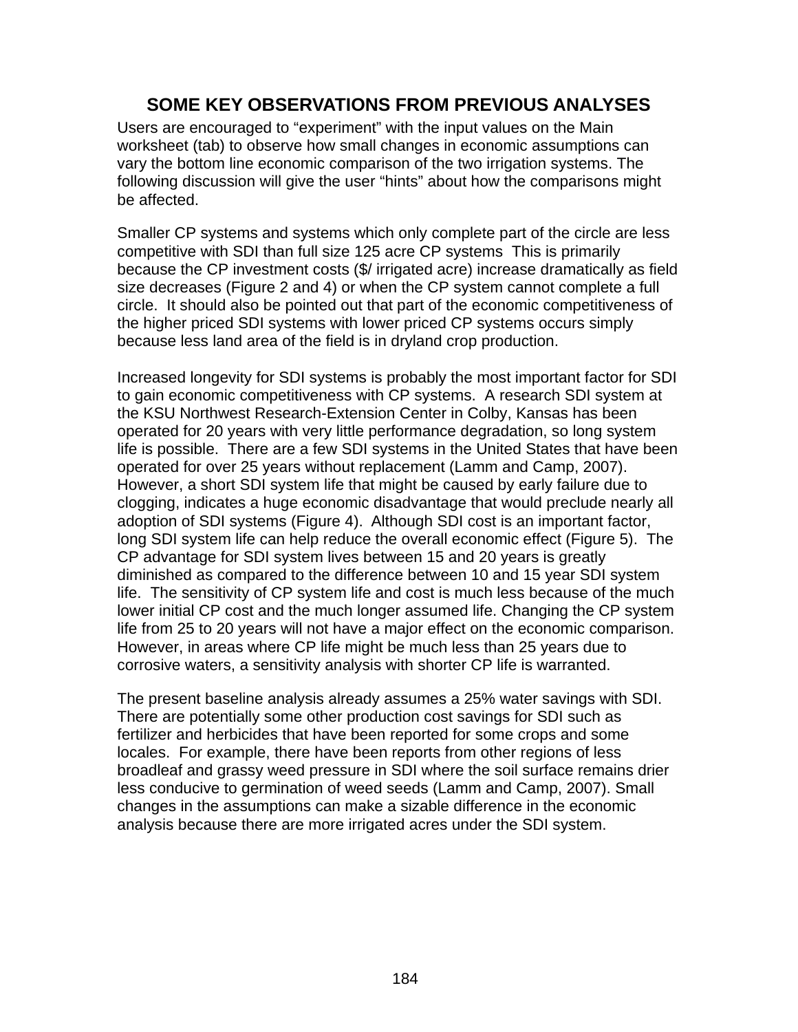## **SOME KEY OBSERVATIONS FROM PREVIOUS ANALYSES**

Users are encouraged to "experiment" with the input values on the Main worksheet (tab) to observe how small changes in economic assumptions can vary the bottom line economic comparison of the two irrigation systems. The following discussion will give the user "hints" about how the comparisons might be affected.

Smaller CP systems and systems which only complete part of the circle are less competitive with SDI than full size 125 acre CP systems This is primarily because the CP investment costs (\$/ irrigated acre) increase dramatically as field size decreases (Figure 2 and 4) or when the CP system cannot complete a full circle. It should also be pointed out that part of the economic competitiveness of the higher priced SDI systems with lower priced CP systems occurs simply because less land area of the field is in dryland crop production.

Increased longevity for SDI systems is probably the most important factor for SDI to gain economic competitiveness with CP systems. A research SDI system at the KSU Northwest Research-Extension Center in Colby, Kansas has been operated for 20 years with very little performance degradation, so long system life is possible. There are a few SDI systems in the United States that have been operated for over 25 years without replacement (Lamm and Camp, 2007). However, a short SDI system life that might be caused by early failure due to clogging, indicates a huge economic disadvantage that would preclude nearly all adoption of SDI systems (Figure 4). Although SDI cost is an important factor, long SDI system life can help reduce the overall economic effect (Figure 5). The CP advantage for SDI system lives between 15 and 20 years is greatly diminished as compared to the difference between 10 and 15 year SDI system life. The sensitivity of CP system life and cost is much less because of the much lower initial CP cost and the much longer assumed life. Changing the CP system life from 25 to 20 years will not have a major effect on the economic comparison. However, in areas where CP life might be much less than 25 years due to corrosive waters, a sensitivity analysis with shorter CP life is warranted.

The present baseline analysis already assumes a 25% water savings with SDI. There are potentially some other production cost savings for SDI such as fertilizer and herbicides that have been reported for some crops and some locales. For example, there have been reports from other regions of less broadleaf and grassy weed pressure in SDI where the soil surface remains drier less conducive to germination of weed seeds (Lamm and Camp, 2007). Small changes in the assumptions can make a sizable difference in the economic analysis because there are more irrigated acres under the SDI system.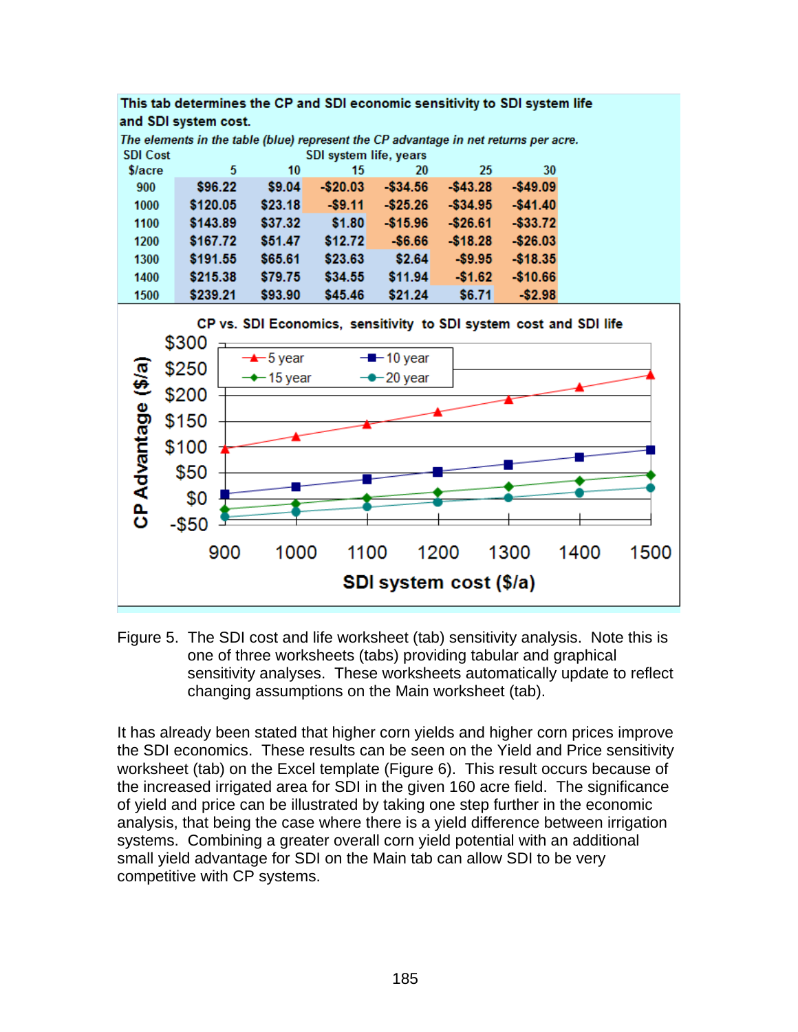

Figure 5. The SDI cost and life worksheet (tab) sensitivity analysis. Note this is one of three worksheets (tabs) providing tabular and graphical sensitivity analyses. These worksheets automatically update to reflect changing assumptions on the Main worksheet (tab).

It has already been stated that higher corn yields and higher corn prices improve the SDI economics. These results can be seen on the Yield and Price sensitivity worksheet (tab) on the Excel template (Figure 6). This result occurs because of the increased irrigated area for SDI in the given 160 acre field. The significance of yield and price can be illustrated by taking one step further in the economic analysis, that being the case where there is a yield difference between irrigation systems. Combining a greater overall corn yield potential with an additional small yield advantage for SDI on the Main tab can allow SDI to be very competitive with CP systems.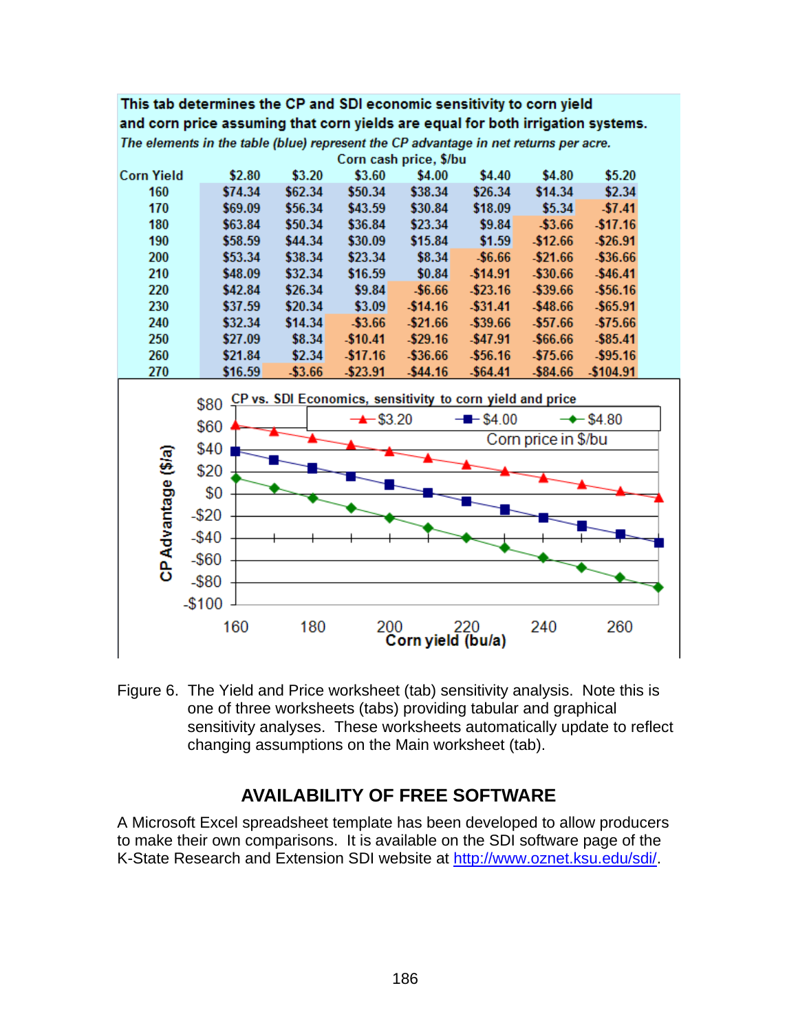#### This tab determines the CP and SDI economic sensitivity to corn yield and corn price assuming that corn yields are equal for both irrigation systems. The elements in the table (blue) represent the CP advantage in net returns per acre.

Corn cash price, \$/bu **Corn Yield** \$2.80 \$3.20 \$3.60 \$4.00 \$4.40 \$4.80  $$5.20$ \$14.34 \$2.34 160 \$74.34 \$62.34 \$50.34 \$38.34 \$26.34 170 \$18.09 \$69.09 \$56.34 \$43.59 \$30.84  $$5.34$  $$7.41$ 180 \$63.84 \$50.34 \$36.84 \$23.34 \$9.84  $-$3.66$  $-$17.16$ 190 \$58.59 \$44.34 \$30.09 \$15.84  $$1.59$  $-$12.66$  $-$26.91$ \$53.34 \$38.34 \$23.34 \$8.34  $-$6.66$  $-$21.66$  $-$36.66$ 200 210 \$48.09 \$32.34 \$16.59  $$0.84$  $-$14.91$ -\$30.66  $-$46.41$ 220 \$42.84 \$26.34  $$9.84$  $-$6.66$  $-$ \$23.16  $-$39.66$  $-$56.16$ \$37.59  $-$14.16$  $-$48.66$ 230 \$20.34  $$3.09$  $-$ \$31.41  $-$65.91$ 240 \$32.34 \$14.34  $-$3.66$  $-$21.66$ -\$39.66  $-$57.66$ -\$75.66 250 \$27.09  $-$10.41$  $-$ \$29.16  $-$47.91$  $-$66.66$  $-$ \$85.41 \$8.34 260 \$21.84  $$2.34$  $$17.16$  $-$36.66$  $-$56.16$  $-$75.66$  $-$95.16$ 



Figure 6. The Yield and Price worksheet (tab) sensitivity analysis. Note this is one of three worksheets (tabs) providing tabular and graphical sensitivity analyses. These worksheets automatically update to reflect changing assumptions on the Main worksheet (tab).

# **AVAILABILITY OF FREE SOFTWARE**

A Microsoft Excel spreadsheet template has been developed to allow producers to make their own comparisons. It is available on the SDI software page of the K-State Research and Extension SDI website at http://www.oznet.ksu.edu/sdi/.